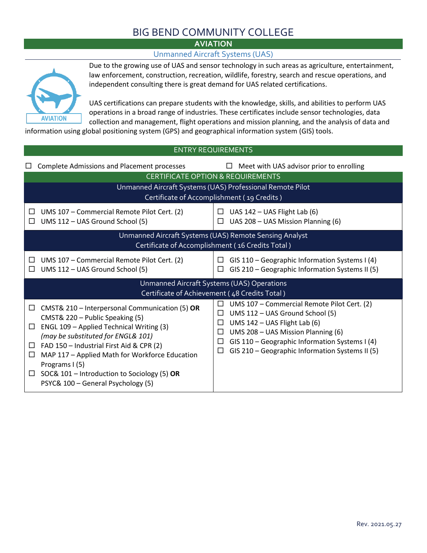# BIG BEND COMMUNITY COLLEGE

*AVIATION* 

#### Unmanned Aircraft Systems (UAS)



Due to the growing use of UAS and sensor technology in such areas as agriculture, entertainment, law enforcement, construction, recreation, wildlife, forestry, search and rescue operations, and independent consulting there is great demand for UAS related certifications.

UAS certifications can prepare students with the knowledge, skills, and abilities to perform UAS operations in a broad range of industries. These certificates include sensor technologies, data collection and management, flight operations and mission planning, and the analysis of data and

information using global positioning system (GPS) and geographical information system (GIS) tools.

| <b>ENTRY REQUIREMENTS</b>                                                                                                                                                                                                                                                                                                                                                                                             |                                                                                                                                                                                                                                                                                         |  |  |  |
|-----------------------------------------------------------------------------------------------------------------------------------------------------------------------------------------------------------------------------------------------------------------------------------------------------------------------------------------------------------------------------------------------------------------------|-----------------------------------------------------------------------------------------------------------------------------------------------------------------------------------------------------------------------------------------------------------------------------------------|--|--|--|
| <b>Complete Admissions and Placement processes</b><br>Meet with UAS advisor prior to enrolling<br>$\Box$                                                                                                                                                                                                                                                                                                              |                                                                                                                                                                                                                                                                                         |  |  |  |
| <b>CERTIFICATE OPTION &amp; REQUIREMENTS</b>                                                                                                                                                                                                                                                                                                                                                                          |                                                                                                                                                                                                                                                                                         |  |  |  |
| Unmanned Aircraft Systems (UAS) Professional Remote Pilot<br>Certificate of Accomplishment (19 Credits)                                                                                                                                                                                                                                                                                                               |                                                                                                                                                                                                                                                                                         |  |  |  |
| UMS 107 - Commercial Remote Pilot Cert. (2)<br>UMS 112 - UAS Ground School (5)                                                                                                                                                                                                                                                                                                                                        | UAS 142 - UAS Flight Lab (6)<br>□<br>UAS 208 - UAS Mission Planning (6)<br>□                                                                                                                                                                                                            |  |  |  |
| Unmanned Aircraft Systems (UAS) Remote Sensing Analyst<br>Certificate of Accomplishment (16 Credits Total)                                                                                                                                                                                                                                                                                                            |                                                                                                                                                                                                                                                                                         |  |  |  |
| UMS 107 - Commercial Remote Pilot Cert. (2)<br>$\Box$<br>UMS 112 - UAS Ground School (5)                                                                                                                                                                                                                                                                                                                              | GIS 110 - Geographic Information Systems I (4)<br>$\Box$<br>GIS 210 - Geographic Information Systems II (5)                                                                                                                                                                             |  |  |  |
| Unmanned Aircraft Systems (UAS) Operations<br>Certificate of Achievement (48 Credits Total)                                                                                                                                                                                                                                                                                                                           |                                                                                                                                                                                                                                                                                         |  |  |  |
| CMST& 210 - Interpersonal Communication (5) OR<br>$\Box$<br>CMST& 220 - Public Speaking (5)<br>ENGL 109 - Applied Technical Writing (3)<br>$\Box$<br>(may be substituted for ENGL& 101)<br>FAD 150 - Industrial First Aid & CPR (2)<br>$\Box$<br>MAP 117 - Applied Math for Workforce Education<br>□<br>Programs I (5)<br>SOC& 101 - Introduction to Sociology (5) OR<br>$\Box$<br>PSYC& 100 - General Psychology (5) | UMS 107 - Commercial Remote Pilot Cert. (2)<br>$\Box$<br>UMS 112 - UAS Ground School (5)<br>□<br>UMS 142 - UAS Flight Lab (6)<br>□<br>UMS 208 - UAS Mission Planning (6)<br>□<br>GIS 110 - Geographic Information Systems I (4)<br>□<br>GIS 210 - Geographic Information Systems II (5) |  |  |  |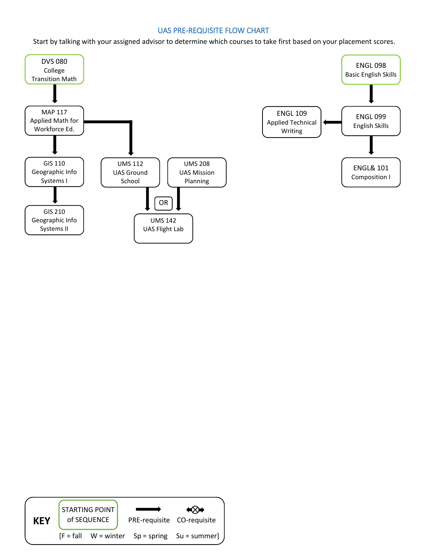#### UAS PRE-REQUISITE FLOW CHART

Start by talking with your assigned advisor to determine which courses to take first based on your placement scores.





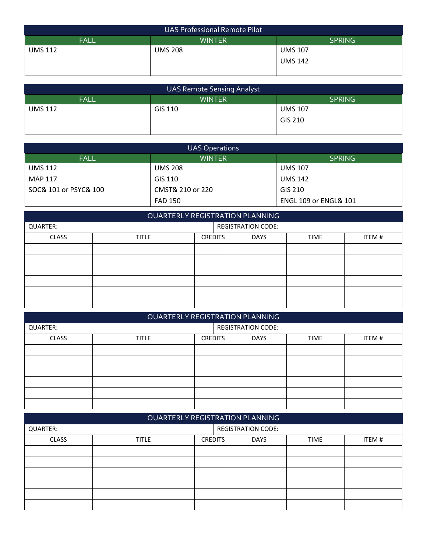| <b>UAS Professional Remote Pilot</b>          |                |                |  |  |
|-----------------------------------------------|----------------|----------------|--|--|
| <b>SPRING</b><br><b>FALL</b><br><b>WINTER</b> |                |                |  |  |
| <b>UMS 112</b>                                | <b>UMS 208</b> | <b>UMS 107</b> |  |  |
|                                               |                | <b>UMS 142</b> |  |  |
|                                               |                |                |  |  |

| <b>UAS Remote Sensing Analyst</b>      |         |                |  |  |
|----------------------------------------|---------|----------------|--|--|
| FALL<br><b>SPRING</b><br><b>WINTER</b> |         |                |  |  |
| <b>UMS 112</b>                         | GIS 110 | <b>UMS 107</b> |  |  |
|                                        |         | GIS 210        |  |  |
|                                        |         |                |  |  |

| <b>UAS Operations</b> |                  |                                  |  |
|-----------------------|------------------|----------------------------------|--|
| <b>FALL</b>           | <b>WINTER</b>    | <b>SPRING</b>                    |  |
| UMS 112               | <b>UMS 208</b>   | <b>UMS 107</b>                   |  |
| MAP 117               | GIS 110          | <b>UMS 142</b>                   |  |
| SOC& 101 or PSYC& 100 | CMST& 210 or 220 | GIS 210                          |  |
|                       | <b>FAD 150</b>   | <b>ENGL 109 or ENGL&amp; 101</b> |  |

|              |              |                | QUARTERLY REGISTRATION PLANNING |             |       |
|--------------|--------------|----------------|---------------------------------|-------------|-------|
| QUARTER:     |              |                | <b>REGISTRATION CODE:</b>       |             |       |
| <b>CLASS</b> | <b>TITLE</b> | <b>CREDITS</b> | <b>DAYS</b>                     | <b>TIME</b> | ITEM# |
|              |              |                |                                 |             |       |
|              |              |                |                                 |             |       |
|              |              |                |                                 |             |       |
|              |              |                |                                 |             |       |
|              |              |                |                                 |             |       |
|              |              |                |                                 |             |       |

| <b>QUARTERLY REGISTRATION PLANNING</b> |                           |                |             |             |       |
|----------------------------------------|---------------------------|----------------|-------------|-------------|-------|
| QUARTER:                               | <b>REGISTRATION CODE:</b> |                |             |             |       |
| <b>CLASS</b>                           | <b>TITLE</b>              | <b>CREDITS</b> | <b>DAYS</b> | <b>TIME</b> | ITEM# |
|                                        |                           |                |             |             |       |
|                                        |                           |                |             |             |       |
|                                        |                           |                |             |             |       |
|                                        |                           |                |             |             |       |
|                                        |                           |                |             |             |       |
|                                        |                           |                |             |             |       |

| QUARTERLY REGISTRATION PLANNING |                           |                |             |             |       |
|---------------------------------|---------------------------|----------------|-------------|-------------|-------|
| QUARTER:                        | <b>REGISTRATION CODE:</b> |                |             |             |       |
| <b>CLASS</b>                    | <b>TITLE</b>              | <b>CREDITS</b> | <b>DAYS</b> | <b>TIME</b> | ITEM# |
|                                 |                           |                |             |             |       |
|                                 |                           |                |             |             |       |
|                                 |                           |                |             |             |       |
|                                 |                           |                |             |             |       |
|                                 |                           |                |             |             |       |
|                                 |                           |                |             |             |       |